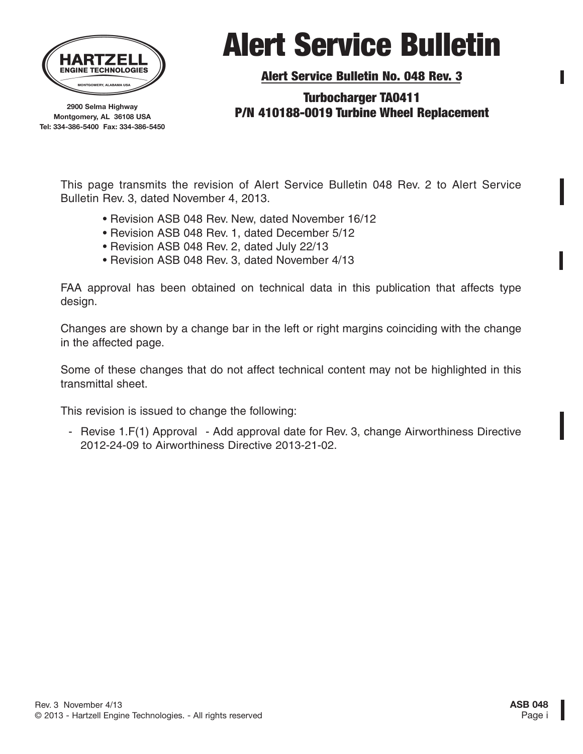

Alert Service Bulletin No. 048 Rev. 3

**2900 Selma Highway Montgomery, AL 36108 USA Tel: 334-386-5400 Fax: 334-386-5450**

### Turbocharger TA0411 P/N 410188-0019 Turbine Wheel Replacement

This page transmits the revision of Alert Service Bulletin 048 Rev. 2 to Alert Service Bulletin Rev. 3, dated November 4, 2013.

- Revision ASB 048 Rev. New, dated November 16/12
- Revision ASB 048 Rev. 1, dated December 5/12
- Revision ASB 048 Rev. 2, dated July 22/13
- Revision ASB 048 Rev. 3, dated November 4/13

FAA approval has been obtained on technical data in this publication that affects type design.

Changes are shown by a change bar in the left or right margins coinciding with the change in the affected page.

Some of these changes that do not affect technical content may not be highlighted in this transmittal sheet.

This revision is issued to change the following:

- Revise 1.F(1) Approval - Add approval date for Rev. 3, change Airworthiness Directive 2012-24-09 to Airworthiness Directive 2013-21-02.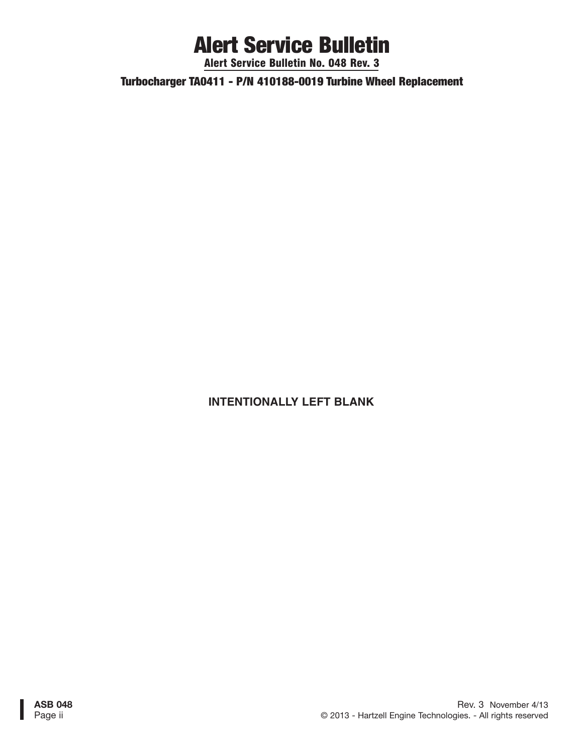Alert Service Bulletin No. 048 Rev. 3

Turbocharger TA0411 - P/N 410188-0019 Turbine Wheel Replacement

### **INTENTIONALLY LEFT BLANK**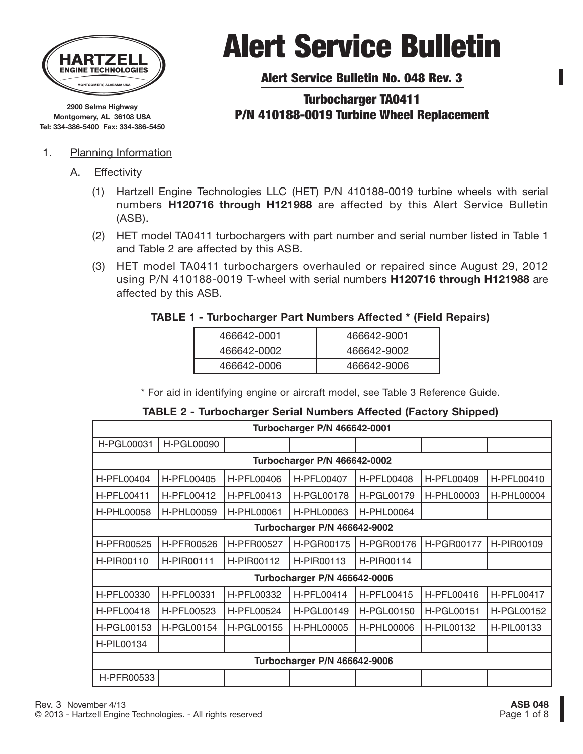

**2900 Selma Highway Montgomery, AL 36108 USA Tel: 334-386-5400 Fax: 334-386-5450**

#### 1. Planning Information

- A. Effectivity
	- (1) Hartzell Engine Technologies LLC (HET) P/N 410188-0019 turbine wheels with serial numbers **H120716 through H121988** are affected by this Alert Service Bulletin (ASB).
	- (2) HET model TA0411 turbochargers with part number and serial number listed in Table 1 and Table 2 are affected by this ASB.
	- (3) HET model TA0411 turbochargers overhauled or repaired since August 29, 2012 using P/N 410188-0019 T-wheel with serial numbers **H120716 through H121988** are affected by this ASB.

#### **TABLE 1 - Turbocharger Part Numbers Affected \* (Field Repairs)**

| 466642-0001 | 466642-9001 |
|-------------|-------------|
| 466642-0002 | 466642-9002 |
| 466642-0006 | 466642-9006 |

\* For aid in identifying engine or aircraft model, see Table 3 Reference Guide.

#### **TABLE 2 - Turbocharger Serial Numbers Affected (Factory Shipped)**

| Turbocharger P/N 466642-0001 |                   |                   |                   |                   |                   |                   |  |
|------------------------------|-------------------|-------------------|-------------------|-------------------|-------------------|-------------------|--|
| <b>H-PGL00031</b>            | <b>H-PGL00090</b> |                   |                   |                   |                   |                   |  |
| Turbocharger P/N 466642-0002 |                   |                   |                   |                   |                   |                   |  |
| <b>H-PFL00404</b>            | H-PFL00405        | <b>H-PFL00406</b> | H-PFL00407        | <b>H-PFL00408</b> | H-PFL00409        | H-PFL00410        |  |
| <b>H-PFL00411</b>            | H-PFL00412        | H-PFL00413        | <b>H-PGL00178</b> | H-PGL00179        | H-PHL00003        | H-PHL00004        |  |
| H-PHL00058                   | H-PHL00059        | <b>H-PHL00061</b> | H-PHL00063        | <b>H-PHL00064</b> |                   |                   |  |
| Turbocharger P/N 466642-9002 |                   |                   |                   |                   |                   |                   |  |
| H-PFR00525                   | H-PFR00526        | H-PFR00527        | H-PGR00175        | H-PGR00176        | H-PGR00177        | H-PIR00109        |  |
| H-PIR00110                   | <b>H-PIR00111</b> | H-PIR00112        | H-PIR00113        | H-PIR00114        |                   |                   |  |
| Turbocharger P/N 466642-0006 |                   |                   |                   |                   |                   |                   |  |
| H-PFL00330                   | H-PFL00331        | H-PFL00332        | <b>H-PFL00414</b> | H-PFL00415        | H-PFL00416        | <b>H-PFL00417</b> |  |
| <b>H-PFL00418</b>            | H-PFL00523        | H-PFL00524        | <b>H-PGL00149</b> | <b>H-PGL00150</b> | <b>H-PGL00151</b> | H-PGL00152        |  |
| H-PGL00153                   | <b>H-PGL00154</b> | <b>H-PGL00155</b> | <b>H-PHL00005</b> | <b>H-PHL00006</b> | H-PIL00132        | H-PIL00133        |  |
| <b>H-PIL00134</b>            |                   |                   |                   |                   |                   |                   |  |
| Turbocharger P/N 466642-9006 |                   |                   |                   |                   |                   |                   |  |
| H-PFR00533                   |                   |                   |                   |                   |                   |                   |  |

# Alert Service Bulletin

Alert Service Bulletin No. 048 Rev. 3

### Turbocharger TA0411 P/N 410188-0019 Turbine Wheel Replacement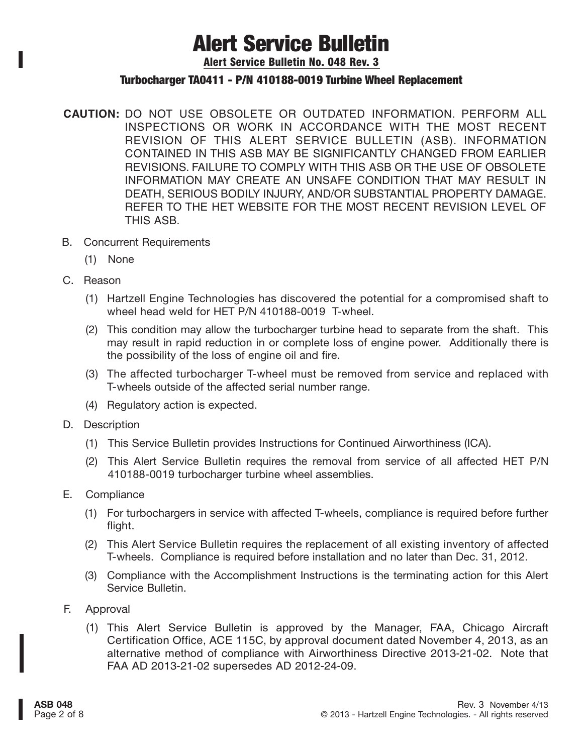Alert Service Bulletin No. 048 Rev. 3

#### Turbocharger TA0411 - P/N 410188-0019 Turbine Wheel Replacement

- **CAUTION:** DO NOT USE OBSOLETE OR OUTDATED INFORMATION. PERFORM ALL INSPECTIONS OR WORK IN ACCORDANCE WITH THE MOST RECENT REVISION OF THIS ALERT SERVICE BULLETIN (ASB). INFORMATION CONTAINED IN THIS ASB MAY BE SIGNIFICANTLY CHANGED FROM EARLIER REVISIONS. FAILURE TO COMPLY WITH THIS ASB OR THE USE OF OBSOLETE INFORMATION MAY CREATE AN UNSAFE CONDITION THAT MAY RESULT IN DEATH, SERIOUS BODILY INJURY, AND/OR SUBSTANTIAL PROPERTY DAMAGE. REFER TO THE HET WEBSITE FOR THE MOST RECENT REVISION LEVEL OF THIS ASB.
- B. Concurrent Requirements
	- (1) None
- C. Reason
	- (1) Hartzell Engine Technologies has discovered the potential for a compromised shaft to wheel head weld for HET P/N 410188-0019 T-wheel.
	- (2) This condition may allow the turbocharger turbine head to separate from the shaft. This may result in rapid reduction in or complete loss of engine power. Additionally there is the possibility of the loss of engine oil and fire.
	- (3) The affected turbocharger T-wheel must be removed from service and replaced with T-wheels outside of the affected serial number range.
	- (4) Regulatory action is expected.
- D. Description
	- (1) This Service Bulletin provides Instructions for Continued Airworthiness (ICA).
	- (2) This Alert Service Bulletin requires the removal from service of all affected HET P/N 410188-0019 turbocharger turbine wheel assemblies.
- E. Compliance
	- (1) For turbochargers in service with affected T-wheels, compliance is required before further flight.
	- (2) This Alert Service Bulletin requires the replacement of all existing inventory of affected T-wheels. Compliance is required before installation and no later than Dec. 31, 2012.
	- (3) Compliance with the Accomplishment Instructions is the terminating action for this Alert Service Bulletin.
- F. Approval
	- (1) This Alert Service Bulletin is approved by the Manager, FAA, Chicago Aircraft Certification Office, ACE 115C, by approval document dated November 4, 2013, as an alternative method of compliance with Airworthiness Directive 2013-21-02. Note that FAA AD 2013-21-02 supersedes AD 2012-24-09.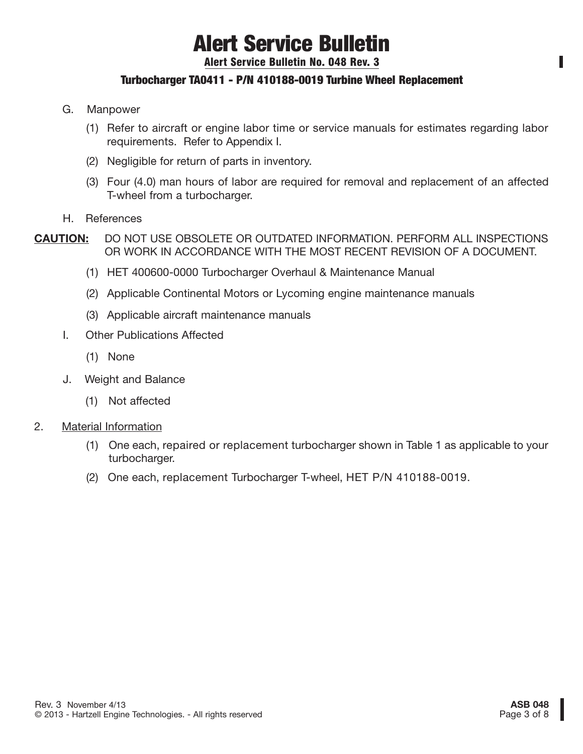Alert Service Bulletin No. 048 Rev. 3

### Turbocharger TA0411 - P/N 410188-0019 Turbine Wheel Replacement

- G. Manpower
	- (1) Refer to aircraft or engine labor time or service manuals for estimates regarding labor requirements. Refer to Appendix I.
	- (2) Negligible for return of parts in inventory.
	- (3) Four (4.0) man hours of labor are required for removal and replacement of an affected T-wheel from a turbocharger.
- H. References
- **CAUTION:** DO NOT USE OBSOLETE OR OUTDATED INFORMATION. PERFORM ALL INSPECTIONS OR WORK IN ACCORDANCE WITH THE MOST RECENT REVISION OF A DOCUMENT.
	- (1) HET 400600-0000 Turbocharger Overhaul & Maintenance Manual
	- (2) Applicable Continental Motors or Lycoming engine maintenance manuals
	- (3) Applicable aircraft maintenance manuals
	- I. Other Publications Affected
		- (1) None
	- J. Weight and Balance
		- (1) Not affected
- 2. Material Information
	- (1) One each, repaired or replacement turbocharger shown in Table 1 as applicable to your turbocharger.
	- (2) One each, replacement Turbocharger T-wheel, HET P/N 410188-0019.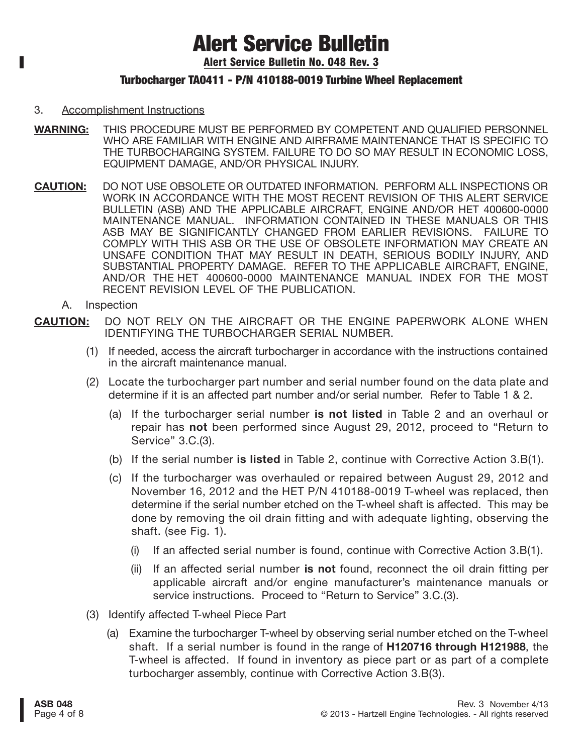Alert Service Bulletin No. 048 Rev. 3

### Turbocharger TA0411 - P/N 410188-0019 Turbine Wheel Replacement

#### 3. Accomplishment Instructions

- **WARNING:** THIS PROCEDURE MUST BE PERFORMED BY COMPETENT AND QUALIFIED PERSONNEL WHO ARE FAMILIAR WITH ENGINE AND AIRFRAME MAINTENANCE THAT IS SPECIFIC TO THE TURBOCHARGING SYSTEM. FAILURE TO DO SO MAY RESULT IN ECONOMIC LOSS, EQUIPMENT DAMAGE, AND/OR PHYSICAL INJURY.
- **CAUTION:** DO NOT USE OBSOLETE OR OUTDATED INFORMATION. PERFORM ALL INSPECTIONS OR WORK IN ACCORDANCE WITH THE MOST RECENT REVISION OF THIS ALERT SERVICE BULLETIN (ASB) AND THE APPLICABLE AIRCRAFT, ENGINE AND/OR HET 400600-0000 MAINTENANCE MANUAL. INFORMATION CONTAINED IN THESE MANUALS OR THIS ASB MAY BE SIGNIFICANTLY CHANGED FROM EARLIER REVISIONS. FAILURE TO COMPLY WITH THIS ASB OR THE USE OF OBSOLETE INFORMATION MAY CREATE AN UNSAFE CONDITION THAT MAY RESULT IN DEATH, SERIOUS BODILY INJURY, AND SUBSTANTIAL PROPERTY DAMAGE. REFER TO THE APPLICABLE AIRCRAFT, ENGINE, AND/OR THE HET 400600-0000 MAINTENANCE MANUAL INDEX FOR THE MOST RECENT REVISION LEVEL OF THE PUBLICATION.
	- A. Inspection
- **CAUTION:** DO NOT RELY ON THE AIRCRAFT OR THE ENGINE PAPERWORK ALONE WHEN IDENTIFYING THE TURBOCHARGER SERIAL NUMBER.
	- (1) If needed, access the aircraft turbocharger in accordance with the instructions contained in the aircraft maintenance manual.
	- (2) Locate the turbocharger part number and serial number found on the data plate and determine if it is an affected part number and/or serial number. Refer to Table 1 & 2.
		- (a) If the turbocharger serial number **is not listed** in Table 2 and an overhaul or repair has **not** been performed since August 29, 2012, proceed to "Return to Service" 3.C.(3).
		- (b) If the serial number **is listed** in Table 2, continue with Corrective Action 3.B(1).
		- (c) If the turbocharger was overhauled or repaired between August 29, 2012 and November 16, 2012 and the HET P/N 410188-0019 T-wheel was replaced, then determine if the serial number etched on the T-wheel shaft is affected. This may be done by removing the oil drain fitting and with adequate lighting, observing the shaft. (see Fig. 1).
			- (i) If an affected serial number is found, continue with Corrective Action 3.B(1).
			- (ii) If an affected serial number **is not** found, reconnect the oil drain fitting per applicable aircraft and/or engine manufacturer's maintenance manuals or service instructions. Proceed to "Return to Service" 3.C.(3).
	- (3) Identify affected T-wheel Piece Part
		- (a) Examine the turbocharger T-wheel by observing serial number etched on the T-wheel shaft. If a serial number is found in the range of **H120716 through H121988**, the T-wheel is affected. If found in inventory as piece part or as part of a complete turbocharger assembly, continue with Corrective Action 3.B(3).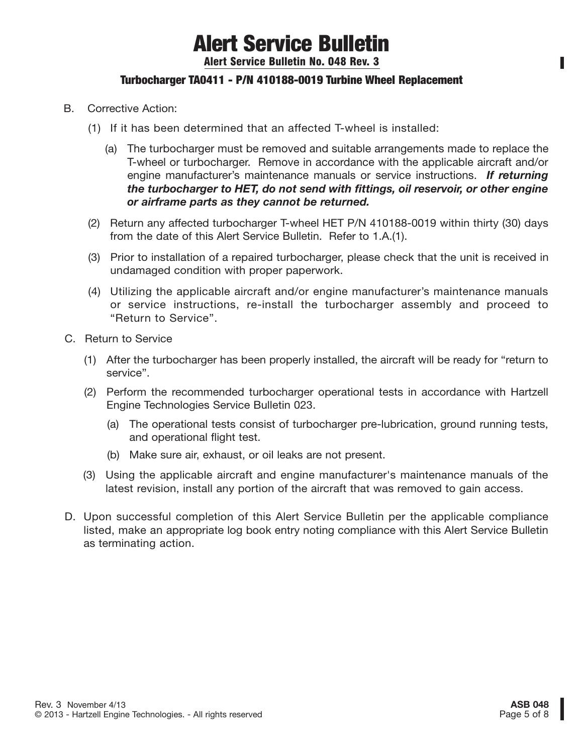Alert Service Bulletin No. 048 Rev. 3

### Turbocharger TA0411 - P/N 410188-0019 Turbine Wheel Replacement

- B. Corrective Action:
	- (1) If it has been determined that an affected T-wheel is installed:
		- (a) The turbocharger must be removed and suitable arrangements made to replace the T-wheel or turbocharger. Remove in accordance with the applicable aircraft and/or engine manufacturer's maintenance manuals or service instructions. *If returning the turbocharger to HET, do not send with fittings, oil reservoir, or other engine or airframe parts as they cannot be returned.*
	- (2) Return any affected turbocharger T-wheel HET P/N 410188-0019 within thirty (30) days from the date of this Alert Service Bulletin. Refer to 1.A.(1).
	- (3) Prior to installation of a repaired turbocharger, please check that the unit is received in undamaged condition with proper paperwork.
	- (4) Utilizing the applicable aircraft and/or engine manufacturer's maintenance manuals or service instructions, re-install the turbocharger assembly and proceed to "Return to Service".
- C. Return to Service
	- (1) After the turbocharger has been properly installed, the aircraft will be ready for "return to service".
	- (2) Perform the recommended turbocharger operational tests in accordance with Hartzell Engine Technologies Service Bulletin 023.
		- (a) The operational tests consist of turbocharger pre-lubrication, ground running tests, and operational flight test.
		- (b) Make sure air, exhaust, or oil leaks are not present.
	- (3) Using the applicable aircraft and engine manufacturer's maintenance manuals of the latest revision, install any portion of the aircraft that was removed to gain access.
- D. Upon successful completion of this Alert Service Bulletin per the applicable compliance listed, make an appropriate log book entry noting compliance with this Alert Service Bulletin as terminating action.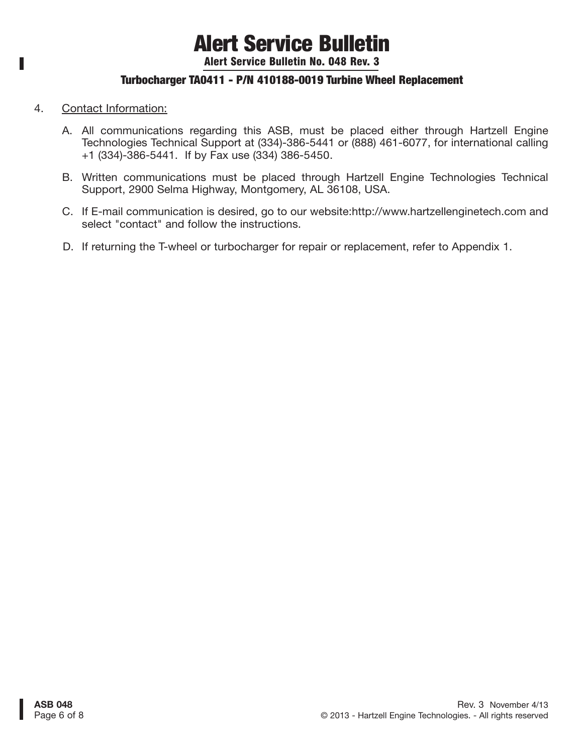Alert Service Bulletin No. 048 Rev. 3

### Turbocharger TA0411 - P/N 410188-0019 Turbine Wheel Replacement

4. Contact Information:

I.

- A. All communications regarding this ASB, must be placed either through Hartzell Engine Technologies Technical Support at (334)-386-5441 or (888) 461-6077, for international calling +1 (334)-386-5441. If by Fax use (334) 386-5450.
- B. Written communications must be placed through Hartzell Engine Technologies Technical Support, 2900 Selma Highway, Montgomery, AL 36108, USA.
- C. If E-mail communication is desired, go to our website:http://www.hartzellenginetech.com and select "contact" and follow the instructions.
- D. If returning the T-wheel or turbocharger for repair or replacement, refer to Appendix 1.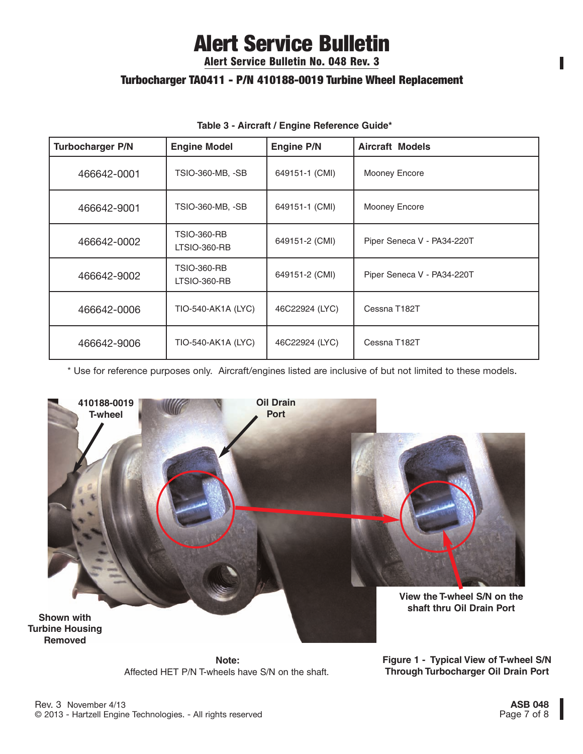Alert Service Bulletin No. 048 Rev. 3

### Turbocharger TA0411 - P/N 410188-0019 Turbine Wheel Replacement

| <b>Turbocharger P/N</b> | <b>Engine Model</b>                       | <b>Engine P/N</b> | <b>Aircraft Models</b>     |
|-------------------------|-------------------------------------------|-------------------|----------------------------|
| 466642-0001             | <b>TSIO-360-MB, -SB</b>                   | 649151-1 (CMI)    | Mooney Encore              |
| 466642-9001             | <b>TSIO-360-MB, -SB</b>                   | 649151-1 (CMI)    | Mooney Encore              |
| 466642-0002             | <b>TSIO-360-RB</b><br><b>LTSIO-360-RB</b> | 649151-2 (CMI)    | Piper Seneca V - PA34-220T |
| 466642-9002             | <b>TSIO-360-RB</b><br><b>LTSIO-360-RB</b> | 649151-2 (CMI)    | Piper Seneca V - PA34-220T |
| 466642-0006             | TIO-540-AK1A (LYC)                        | 46C22924 (LYC)    | Cessna T182T               |
| 466642-9006             | TIO-540-AK1A (LYC)                        | 46C22924 (LYC)    | Cessna T182T               |

#### **Table 3 - Aircraft / Engine Reference Guide\***

\* Use for reference purposes only. Aircraft/engines listed are inclusive of but not limited to these models.



**Note:** Affected HET P/N T-wheels have S/N on the shaft.

**Figure 1 - Typical View of T-wheel S/N Through Turbocharger Oil Drain Port**